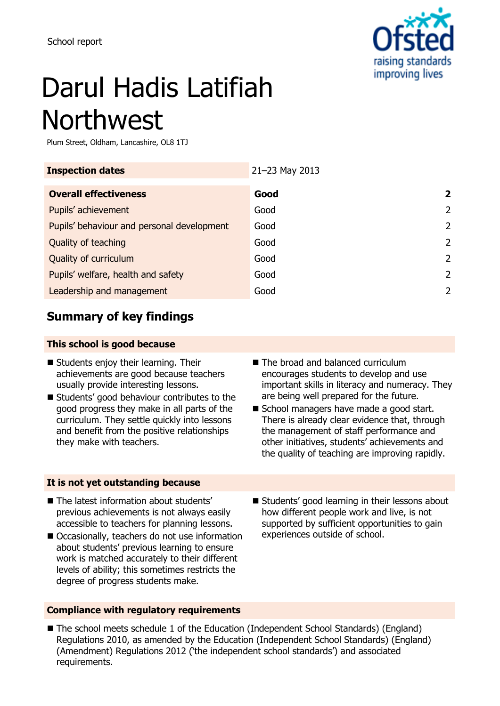

# Darul Hadis Latifiah Northwest

Plum Street, Oldham, Lancashire, OL8 1TJ

| <b>Inspection dates</b>                    | 21-23 May 2013 |                |
|--------------------------------------------|----------------|----------------|
| <b>Overall effectiveness</b>               | Good           | $\overline{2}$ |
| Pupils' achievement                        | Good           | $\mathcal{P}$  |
| Pupils' behaviour and personal development | Good           | 2              |
| Quality of teaching                        | Good           | 2              |
| Quality of curriculum                      | Good           | $\mathcal{L}$  |
| Pupils' welfare, health and safety         | Good           | 2              |
| Leadership and management                  | Good           | 2              |

## **Summary of key findings**

### **This school is good because**

- Students enjoy their learning. Their achievements are good because teachers usually provide interesting lessons.
- Students' good behaviour contributes to the good progress they make in all parts of the curriculum. They settle quickly into lessons and benefit from the positive relationships they make with teachers.
- The broad and balanced curriculum encourages students to develop and use important skills in literacy and numeracy. They are being well prepared for the future.
- School managers have made a good start. There is already clear evidence that, through the management of staff performance and other initiatives, students' achievements and the quality of teaching are improving rapidly.

#### **It is not yet outstanding because**

- The latest information about students' previous achievements is not always easily accessible to teachers for planning lessons.
- Occasionally, teachers do not use information about students' previous learning to ensure work is matched accurately to their different levels of ability; this sometimes restricts the degree of progress students make.
- **E** Students' good learning in their lessons about how different people work and live, is not supported by sufficient opportunities to gain experiences outside of school.
- **Compliance with regulatory requirements**
- The school meets schedule 1 of the Education (Independent School Standards) (England) Regulations 2010, as amended by the Education (Independent School Standards) (England) (Amendment) Regulations 2012 ('the independent school standards') and associated requirements.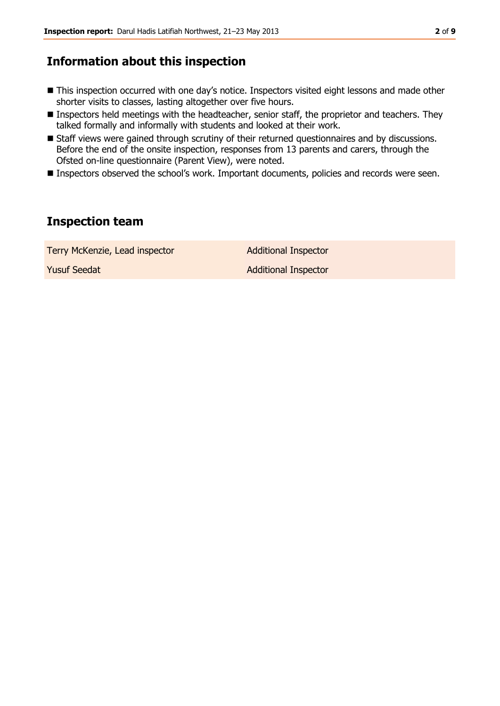## **Information about this inspection**

- This inspection occurred with one day's notice. Inspectors visited eight lessons and made other shorter visits to classes, lasting altogether over five hours.
- Inspectors held meetings with the headteacher, senior staff, the proprietor and teachers. They talked formally and informally with students and looked at their work.
- Staff views were gained through scrutiny of their returned questionnaires and by discussions. Before the end of the onsite inspection, responses from 13 parents and carers, through the Ofsted on-line questionnaire (Parent View), were noted.
- **Inspectors observed the school's work. Important documents, policies and records were seen.**

## **Inspection team**

Terry McKenzie, Lead inspector **Additional Inspector Yusuf Seedat Additional Inspector** Additional Inspector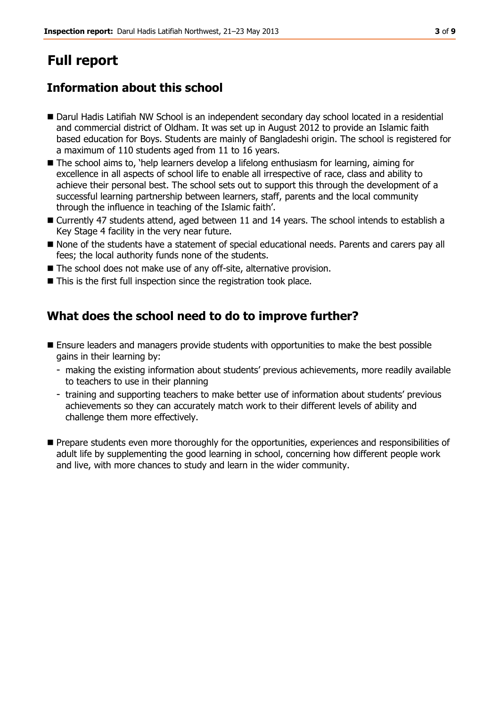# **Full report**

## **Information about this school**

- Darul Hadis Latifiah NW School is an independent secondary day school located in a residential and commercial district of Oldham. It was set up in August 2012 to provide an Islamic faith based education for Boys. Students are mainly of Bangladeshi origin. The school is registered for a maximum of 110 students aged from 11 to 16 years.
- The school aims to, 'help learners develop a lifelong enthusiasm for learning, aiming for excellence in all aspects of school life to enable all irrespective of race, class and ability to achieve their personal best. The school sets out to support this through the development of a successful learning partnership between learners, staff, parents and the local community through the influence in teaching of the Islamic faith'.
- Currently 47 students attend, aged between 11 and 14 years. The school intends to establish a Key Stage 4 facility in the very near future.
- $\blacksquare$  None of the students have a statement of special educational needs. Parents and carers pay all fees; the local authority funds none of the students.
- The school does not make use of any off-site, alternative provision.
- This is the first full inspection since the registration took place.

## **What does the school need to do to improve further?**

- **E** Ensure leaders and managers provide students with opportunities to make the best possible gains in their learning by:
	- making the existing information about students' previous achievements, more readily available to teachers to use in their planning
	- training and supporting teachers to make better use of information about students' previous achievements so they can accurately match work to their different levels of ability and challenge them more effectively.
- **Prepare students even more thoroughly for the opportunities, experiences and responsibilities of** adult life by supplementing the good learning in school, concerning how different people work and live, with more chances to study and learn in the wider community.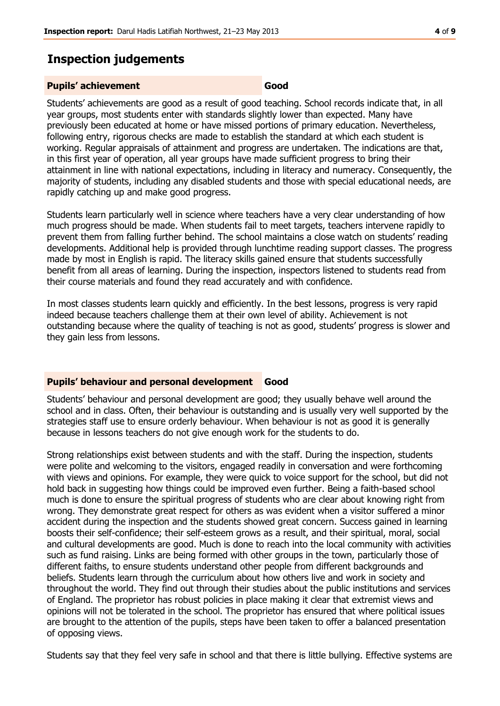## **Inspection judgements**

#### **Pupils' achievement Good**

Students' achievements are good as a result of good teaching. School records indicate that, in all year groups, most students enter with standards slightly lower than expected. Many have previously been educated at home or have missed portions of primary education. Nevertheless, following entry, rigorous checks are made to establish the standard at which each student is working. Regular appraisals of attainment and progress are undertaken. The indications are that, in this first year of operation, all year groups have made sufficient progress to bring their attainment in line with national expectations, including in literacy and numeracy. Consequently, the majority of students, including any disabled students and those with special educational needs, are rapidly catching up and make good progress.

Students learn particularly well in science where teachers have a very clear understanding of how much progress should be made. When students fail to meet targets, teachers intervene rapidly to prevent them from falling further behind. The school maintains a close watch on students' reading developments. Additional help is provided through lunchtime reading support classes. The progress made by most in English is rapid. The literacy skills gained ensure that students successfully benefit from all areas of learning. During the inspection, inspectors listened to students read from their course materials and found they read accurately and with confidence.

In most classes students learn quickly and efficiently. In the best lessons, progress is very rapid indeed because teachers challenge them at their own level of ability. Achievement is not outstanding because where the quality of teaching is not as good, students' progress is slower and they gain less from lessons.

#### **Pupils' behaviour and personal development Good**

Students' behaviour and personal development are good; they usually behave well around the school and in class. Often, their behaviour is outstanding and is usually very well supported by the strategies staff use to ensure orderly behaviour. When behaviour is not as good it is generally because in lessons teachers do not give enough work for the students to do.

Strong relationships exist between students and with the staff. During the inspection, students were polite and welcoming to the visitors, engaged readily in conversation and were forthcoming with views and opinions. For example, they were quick to voice support for the school, but did not hold back in suggesting how things could be improved even further. Being a faith-based school much is done to ensure the spiritual progress of students who are clear about knowing right from wrong. They demonstrate great respect for others as was evident when a visitor suffered a minor accident during the inspection and the students showed great concern. Success gained in learning boosts their self-confidence; their self-esteem grows as a result, and their spiritual, moral, social and cultural developments are good. Much is done to reach into the local community with activities such as fund raising. Links are being formed with other groups in the town, particularly those of different faiths, to ensure students understand other people from different backgrounds and beliefs. Students learn through the curriculum about how others live and work in society and throughout the world. They find out through their studies about the public institutions and services of England. The proprietor has robust policies in place making it clear that extremist views and opinions will not be tolerated in the school. The proprietor has ensured that where political issues are brought to the attention of the pupils, steps have been taken to offer a balanced presentation of opposing views.

Students say that they feel very safe in school and that there is little bullying. Effective systems are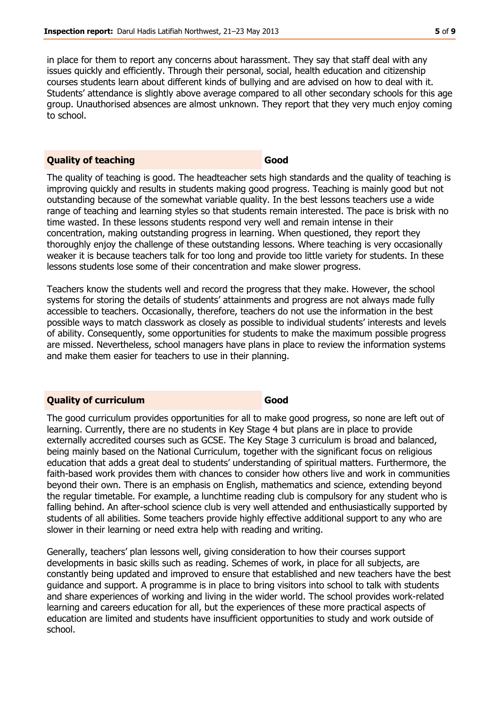in place for them to report any concerns about harassment. They say that staff deal with any issues quickly and efficiently. Through their personal, social, health education and citizenship courses students learn about different kinds of bullying and are advised on how to deal with it. Students' attendance is slightly above average compared to all other secondary schools for this age group. Unauthorised absences are almost unknown. They report that they very much enjoy coming to school.

#### **Quality of teaching Good**

The quality of teaching is good. The headteacher sets high standards and the quality of teaching is improving quickly and results in students making good progress. Teaching is mainly good but not outstanding because of the somewhat variable quality. In the best lessons teachers use a wide range of teaching and learning styles so that students remain interested. The pace is brisk with no time wasted. In these lessons students respond very well and remain intense in their concentration, making outstanding progress in learning. When questioned, they report they thoroughly enjoy the challenge of these outstanding lessons. Where teaching is very occasionally weaker it is because teachers talk for too long and provide too little variety for students. In these lessons students lose some of their concentration and make slower progress.

Teachers know the students well and record the progress that they make. However, the school systems for storing the details of students' attainments and progress are not always made fully accessible to teachers. Occasionally, therefore, teachers do not use the information in the best possible ways to match classwork as closely as possible to individual students' interests and levels of ability. Consequently, some opportunities for students to make the maximum possible progress are missed. Nevertheless, school managers have plans in place to review the information systems and make them easier for teachers to use in their planning.

#### **Quality of curriculum Good**

The good curriculum provides opportunities for all to make good progress, so none are left out of learning. Currently, there are no students in Key Stage 4 but plans are in place to provide externally accredited courses such as GCSE. The Key Stage 3 curriculum is broad and balanced, being mainly based on the National Curriculum, together with the significant focus on religious education that adds a great deal to students' understanding of spiritual matters. Furthermore, the faith-based work provides them with chances to consider how others live and work in communities beyond their own. There is an emphasis on English, mathematics and science, extending beyond the regular timetable. For example, a lunchtime reading club is compulsory for any student who is falling behind. An after-school science club is very well attended and enthusiastically supported by students of all abilities. Some teachers provide highly effective additional support to any who are slower in their learning or need extra help with reading and writing.

Generally, teachers' plan lessons well, giving consideration to how their courses support developments in basic skills such as reading. Schemes of work, in place for all subjects, are constantly being updated and improved to ensure that established and new teachers have the best guidance and support. A programme is in place to bring visitors into school to talk with students and share experiences of working and living in the wider world. The school provides work-related learning and careers education for all, but the experiences of these more practical aspects of education are limited and students have insufficient opportunities to study and work outside of school.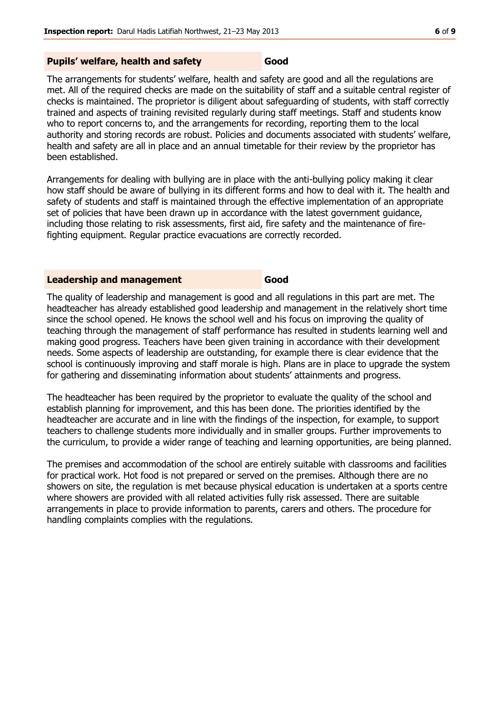### **Pupils' welfare, health and safety Good**

The arrangements for students' welfare, health and safety are good and all the regulations are met. All of the required checks are made on the suitability of staff and a suitable central register of checks is maintained. The proprietor is diligent about safeguarding of students, with staff correctly trained and aspects of training revisited regularly during staff meetings. Staff and students know who to report concerns to, and the arrangements for recording, reporting them to the local authority and storing records are robust. Policies and documents associated with students' welfare, health and safety are all in place and an annual timetable for their review by the proprietor has been established.

Arrangements for dealing with bullying are in place with the anti-bullying policy making it clear how staff should be aware of bullying in its different forms and how to deal with it. The health and safety of students and staff is maintained through the effective implementation of an appropriate set of policies that have been drawn up in accordance with the latest government guidance, including those relating to risk assessments, first aid, fire safety and the maintenance of firefighting equipment. Regular practice evacuations are correctly recorded.

#### **Leadership and management Good**

The quality of leadership and management is good and all regulations in this part are met. The headteacher has already established good leadership and management in the relatively short time since the school opened. He knows the school well and his focus on improving the quality of teaching through the management of staff performance has resulted in students learning well and making good progress. Teachers have been given training in accordance with their development needs. Some aspects of leadership are outstanding, for example there is clear evidence that the school is continuously improving and staff morale is high. Plans are in place to upgrade the system for gathering and disseminating information about students' attainments and progress.

The headteacher has been required by the proprietor to evaluate the quality of the school and establish planning for improvement, and this has been done. The priorities identified by the headteacher are accurate and in line with the findings of the inspection, for example, to support teachers to challenge students more individually and in smaller groups. Further improvements to the curriculum, to provide a wider range of teaching and learning opportunities, are being planned.

The premises and accommodation of the school are entirely suitable with classrooms and facilities for practical work. Hot food is not prepared or served on the premises. Although there are no showers on site, the regulation is met because physical education is undertaken at a sports centre where showers are provided with all related activities fully risk assessed. There are suitable arrangements in place to provide information to parents, carers and others. The procedure for handling complaints complies with the regulations.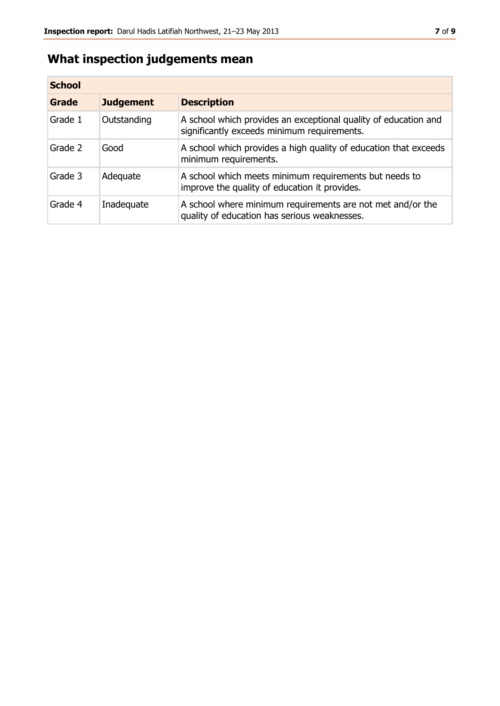## **What inspection judgements mean**

| <b>School</b> |                  |                                                                                                                |
|---------------|------------------|----------------------------------------------------------------------------------------------------------------|
| Grade         | <b>Judgement</b> | <b>Description</b>                                                                                             |
| Grade 1       | Outstanding      | A school which provides an exceptional quality of education and<br>significantly exceeds minimum requirements. |
| Grade 2       | Good             | A school which provides a high quality of education that exceeds<br>minimum requirements.                      |
| Grade 3       | Adequate         | A school which meets minimum requirements but needs to<br>improve the quality of education it provides.        |
| Grade 4       | Inadequate       | A school where minimum requirements are not met and/or the<br>quality of education has serious weaknesses.     |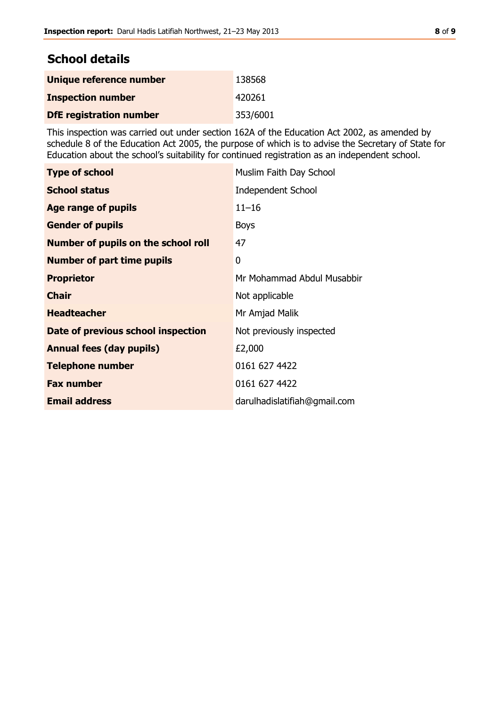## **School details**

| Unique reference number        | 138568   |
|--------------------------------|----------|
| <b>Inspection number</b>       | 420261   |
| <b>DfE</b> registration number | 353/6001 |

This inspection was carried out under section 162A of the Education Act 2002, as amended by schedule 8 of the Education Act 2005, the purpose of which is to advise the Secretary of State for Education about the school's suitability for continued registration as an independent school.

| <b>Type of school</b>                      | Muslim Faith Day School      |
|--------------------------------------------|------------------------------|
| <b>School status</b>                       | <b>Independent School</b>    |
| Age range of pupils                        | $11 - 16$                    |
| <b>Gender of pupils</b>                    | <b>Boys</b>                  |
| <b>Number of pupils on the school roll</b> | 47                           |
| <b>Number of part time pupils</b>          | 0                            |
| <b>Proprietor</b>                          | Mr Mohammad Abdul Musabbir   |
| <b>Chair</b>                               | Not applicable               |
| <b>Headteacher</b>                         | Mr Amjad Malik               |
| Date of previous school inspection         | Not previously inspected     |
| <b>Annual fees (day pupils)</b>            | £2,000                       |
| <b>Telephone number</b>                    | 0161 627 4422                |
| <b>Fax number</b>                          | 0161 627 4422                |
| <b>Email address</b>                       | darulhadislatifiah@gmail.com |